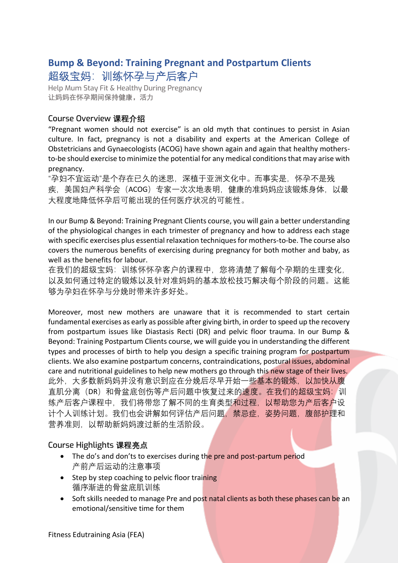# **Bump & Beyond: Training Pregnant and Postpartum Clients**  超级宝妈:训练怀孕与产后客户

Help Mum Stay Fit & Healthy During Pregnancy **让妈妈在怀孕期间保持健康,活力**

## Course Overview **课程介绍**

"Pregnant women should not exercise" is an old myth that continues to persist in Asian culture. In fact, pregnancy is not a disability and experts at the American College of Obstetricians and Gynaecologists (ACOG) have shown again and again that healthy mothersto-be should exercise to minimize the potential for any medical conditions that may arise with pregnancy.

"孕妇不宜运动"是个存在已久的迷思,深植于亚洲文化中。而事实是,怀孕不是残 疾,美国妇产科学会(ACOG)专家一次次地表明,健康的准妈妈应该锻炼身体,以最 大程度地降低怀孕后可能出现的任何医疗状况的可能性。

In our Bump & Beyond: Training Pregnant Clients course, you will gain a better understanding of the physiological changes in each trimester of pregnancy and how to address each stage with specific exercises plus essential relaxation techniques for mothers-to-be. The course also covers the numerous benefits of exercising during pregnancy for both mother and baby, as well as the benefits for labour.

在我们的超级宝妈:训练怀怀孕客户的课程中,您将清楚了解每个孕期的生理变化, 以及如何通过特定的锻炼以及针对准妈妈的基本放松技巧解决每个阶段的问题。这能 够为孕妇在怀孕与分娩时带来许多好处。

Moreover, most new mothers are unaware that it is recommended to start certain fundamental exercises as early as possible after giving birth, in order to speed up the recovery from postpartum issues like Diastasis Recti (DR) and pelvic floor trauma. In our Bump & Beyond: Training Postpartum Clients course, we will guide you in understanding the different types and processes of birth to help you design a specific training program for postpartum clients. We also examine postpartum concerns, contraindications, postural issues, abdominal care and nutritional guidelines to help new mothers go through this new stage of their lives. 此外,大多数新妈妈并没有意识到应在分娩后尽早开始一些基本的锻炼,以加快从腹 直肌分离(DR)和骨盆底创伤等产后问题中恢复过来的速度。在我们的超级宝妈: 训 练产后客户课程中,我们将带您了解不同的生育类型和过程,以帮助您为产后客户设 计个人训练计划。我们也会讲解如何评估产后问题,禁忌症,姿势问题,腹部护理和 营养准则,以帮助新妈妈渡过新的生活阶段。

## Course Highlights **课程亮点**

- The do's and don'ts to exercises during the pre and post-partum period 产前产后运动的注意事项
- Step by step coaching to pelvic floor training 循序渐讲的骨盆底肌训练
- Soft skills needed to manage Pre and post natal clients as both these phases can be an emotional/sensitive time for them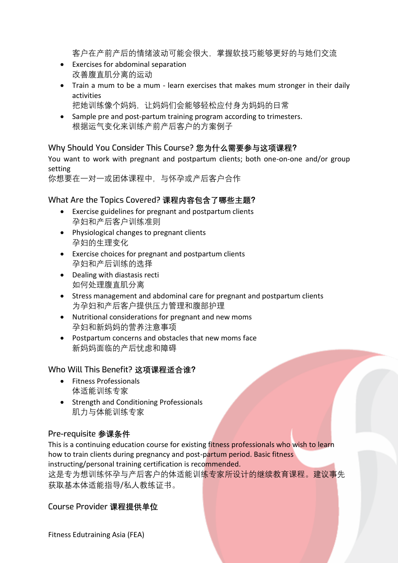客户在产前产后的情绪波动可能会很大,掌握软技巧能够更好的与她们交流

- Exercises for abdominal separation 改善腹直肌分离的运动
- Train a mum to be a mum learn exercises that makes mum stronger in their daily activities
	- 把她训练像个妈妈,让妈妈们会能够轻松应付身为妈妈的日常
- Sample pre and post-partum training program according to trimesters. 根据运气变化来训练产前产后客户的方案例子

### Why Should You Consider This Course? **您为什么需要参与这项课程?**

You want to work with pregnant and postpartum clients; both one-on-one and/or group setting

你想要在一对一或团体课程中,与怀孕或产后客户合作

#### What Are the Topics Covered? **课程内容包含了哪些主题?**

- Exercise guidelines for pregnant and postpartum clients 孕妇和产后客户训练准则
- Physiological changes to pregnant clients 孕妇的生理变化
- Exercise choices for pregnant and postpartum clients 孕妇和产后训练的选择
- Dealing with diastasis recti 如何处理腹直肌分离
- Stress management and abdominal care for pregnant and postpartum clients 为孕妇和产后客户提供压力管理和腹部护理
- Nutritional considerations for pregnant and new moms 孕妇和新妈妈的营养注意事项
- Postpartum concerns and obstacles that new moms face 新妈妈面临的产后忧虑和障碍

#### Who Will This Benefit? **这项课程适合谁?**

- Fitness Professionals 体适能训练专家
- Strength and Conditioning Professionals 肌力与体能训练专家

#### Pre-requisite **参课条件**

This is a continuing education course for existing fitness professionals who wish to learn how to train clients during pregnancy and post-partum period. Basic fitness instructing/personal training certification is recommended.

这是专为想训练怀孕与产后客户的体适能训练专家所设计的继续教育课程。建议事先 获取基本体适能指导/私人教练证书。

#### Course Provider **课程提供单位**

Fitness Edutraining Asia (FEA)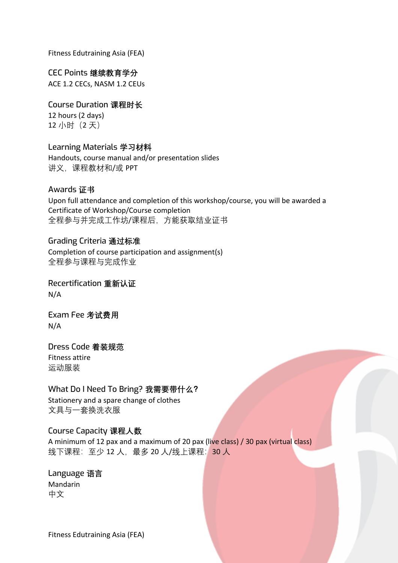Fitness Edutraining Asia (FEA)

CEC Points **继续教育学分** ACE 1.2 CECs, NASM 1.2 CEUs

Course Duration **课程时长** 12 hours (2 days) 12 小时(2 天)

Learning Materials **学习材料** Handouts, course manual and/or presentation slides 讲义,课程教材和/或 PPT

Awards **证书** Upon full attendance and completion of this workshop/course, you will be awarded a Certificate of Workshop/Course completion 全程参与并完成工作坊/课程后,方能获取结业证书

Grading Criteria **通过标准** Completion of course participation and assignment(s) 全程参与课程与完成作业

Recertification **重新认证** N/A

Exam Fee **考试费用** N/A

Dress Code **着装规范** Fitness attire 运动服装

What Do I Need To Bring? **我需要带什么?** Stationery and a spare change of clothes 文具与一套换洗衣服

#### Course Capacity **课程人数**

A minimum of 12 pax and a maximum of 20 pax (live class) / 30 pax (virtual class) 线下课程: 至少 12 人, 最多 20 人/线上课程: 30 人

Language **语言** Mandarin 中文

Fitness Edutraining Asia (FEA)